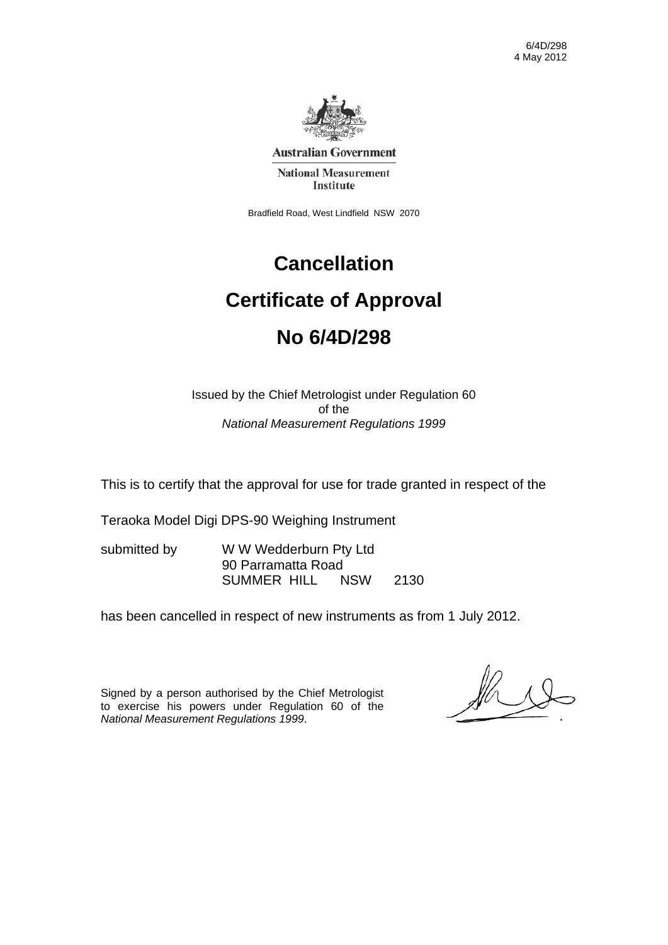

**Australian Government** 

**National Measurement** Institute

Bradfield Road, West Lindfield NSW 2070

# **Cancellation Certificate of Approval No 6/4D/298**

Issued by the Chief Metrologist under Regulation 60 of the *National Measurement Regulations 1999* 

This is to certify that the approval for use for trade granted in respect of the

Teraoka Model Digi DPS-90 Weighing Instrument

submitted by WWW Wedderburn Pty Ltd 90 Parramatta Road SUMMER HILL NSW 2130

has been cancelled in respect of new instruments as from 1 July 2012.

Signed by a person authorised by the Chief Metrologist to exercise his powers under Regulation 60 of the *National Measurement Regulations 1999*.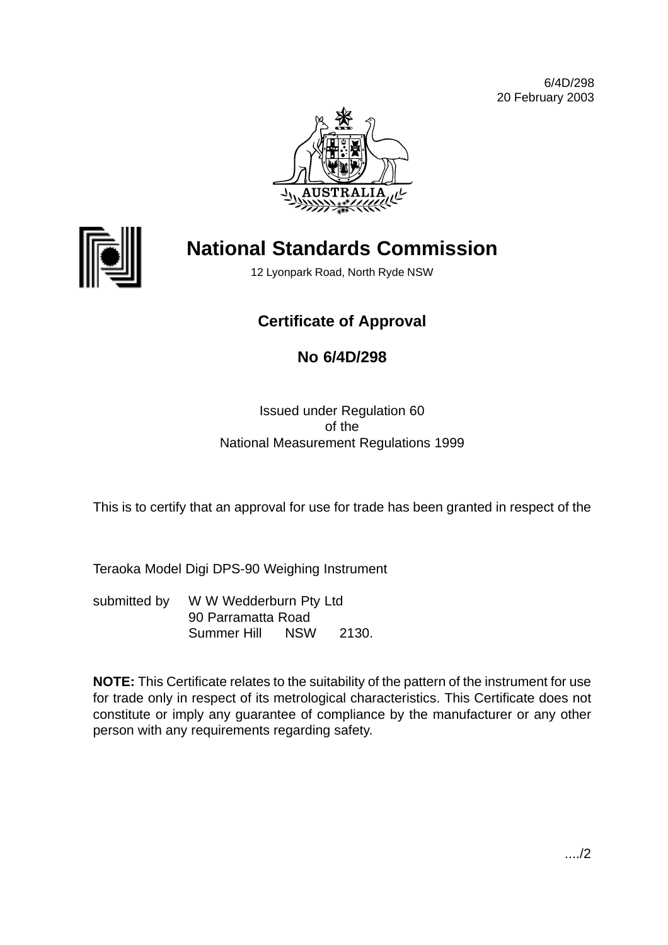6/4D/298 20 February 2003





## **National Standards Commission**

12 Lyonpark Road, North Ryde NSW

## **Certificate of Approval**

## **No 6/4D/298**

#### Issued under Regulation 60 of the National Measurement Regulations 1999

This is to certify that an approval for use for trade has been granted in respect of the

Teraoka Model Digi DPS-90 Weighing Instrument

submitted by W W Wedderburn Pty Ltd 90 Parramatta Road Summer Hill NSW 2130.

**NOTE:** This Certificate relates to the suitability of the pattern of the instrument for use for trade only in respect of its metrological characteristics. This Certificate does not constitute or imply any guarantee of compliance by the manufacturer or any other person with any requirements regarding safety.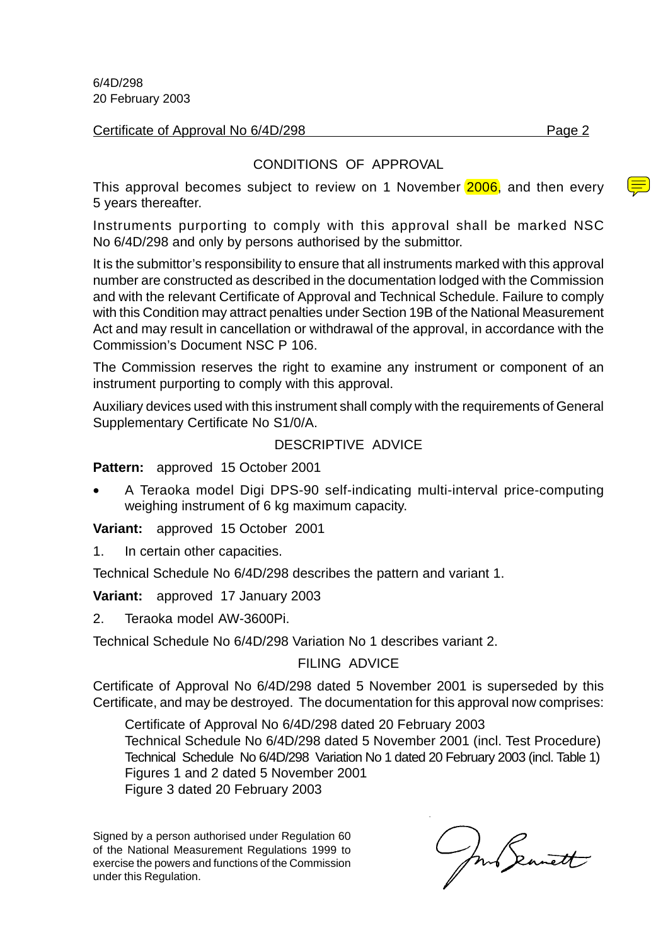6/4D/298 20 February 2003

Certificate of Approval No 6/4D/298 Page 2

#### CONDITIONS OF APPROVAL

This approval becomes subject to review on 1 November 2006, and then every 5 years thereafter.

Instruments purporting to comply with this approval shall be marked NSC No 6/4D/298 and only by persons authorised by the submittor.

It is the submittor's responsibility to ensure that all instruments marked with this approval number are constructed as described in the documentation lodged with the Commission and with the relevant Certificate of Approval and Technical Schedule. Failure to comply with this Condition may attract penalties under Section 19B of the National Measurement Act and may result in cancellation or withdrawal of the approval, in accordance with the Commission's Document NSC P 106.

The Commission reserves the right to examine any instrument or component of an instrument purporting to comply with this approval.

Auxiliary devices used with this instrument shall comply with the requirements of General Supplementary Certificate No S1/0/A.

#### DESCRIPTIVE ADVICE

**Pattern:** approved 15 October 2001

• A Teraoka model Digi DPS-90 self-indicating multi-interval price-computing weighing instrument of 6 kg maximum capacity.

**Variant:** approved 15 October 2001

1. In certain other capacities.

Technical Schedule No 6/4D/298 describes the pattern and variant 1.

**Variant:** approved 17 January 2003

2. Teraoka model AW-3600Pi.

Technical Schedule No 6/4D/298 Variation No 1 describes variant 2.

#### FILING ADVICE

Certificate of Approval No 6/4D/298 dated 5 November 2001 is superseded by this Certificate, and may be destroyed. The documentation for this approval now comprises:

Certificate of Approval No 6/4D/298 dated 20 February 2003 Technical Schedule No 6/4D/298 dated 5 November 2001 (incl. Test Procedure) Technical Schedule No 6/4D/298 Variation No 1 dated 20 February 2003 (incl. Table 1) Figures 1 and 2 dated 5 November 2001 Figure 3 dated 20 February 2003

Signed by a person authorised under Regulation 60 of the National Measurement Regulations 1999 to exercise the powers and functions of the Commission under this Regulation.

ml Seanett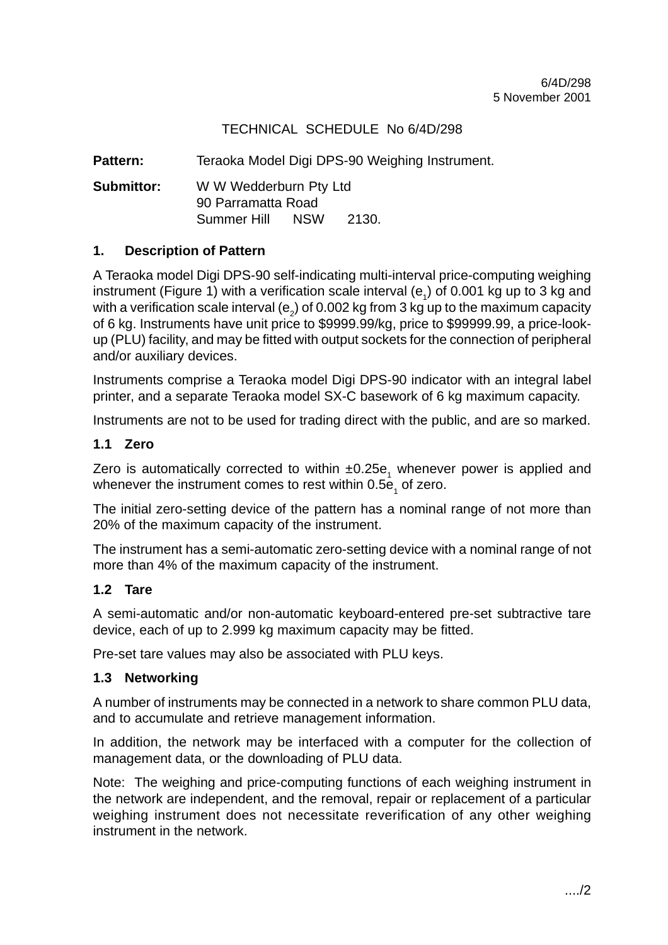#### TECHNICAL SCHEDULE No 6/4D/298

Pattern: Teraoka Model Digi DPS-90 Weighing Instrument.

**Submittor:** W W Wedderburn Pty Ltd 90 Parramatta Road Summer Hill NSW 2130.

#### **1. Description of Pattern**

A Teraoka model Digi DPS-90 self-indicating multi-interval price-computing weighing instrument (Figure 1) with a verification scale interval (e<sub>1</sub>) of 0.001 kg up to 3 kg and with a verification scale interval (e<sub>2</sub>) of 0.002 kg from 3 kg up to the maximum capacity of 6 kg. Instruments have unit price to \$9999.99/kg, price to \$99999.99, a price-lookup (PLU) facility, and may be fitted with output sockets for the connection of peripheral and/or auxiliary devices.

Instruments comprise a Teraoka model Digi DPS-90 indicator with an integral label printer, and a separate Teraoka model SX-C basework of 6 kg maximum capacity.

Instruments are not to be used for trading direct with the public, and are so marked.

#### **1.1 Zero**

Zero is automatically corrected to within  $\pm 0.25$ e<sub>1</sub> whenever power is applied and whenever the instrument comes to rest within 0.5e<sub>1</sub> of zero.

The initial zero-setting device of the pattern has a nominal range of not more than 20% of the maximum capacity of the instrument.

The instrument has a semi-automatic zero-setting device with a nominal range of not more than 4% of the maximum capacity of the instrument.

#### **1.2 Tare**

A semi-automatic and/or non-automatic keyboard-entered pre-set subtractive tare device, each of up to 2.999 kg maximum capacity may be fitted.

Pre-set tare values may also be associated with PLU keys.

#### **1.3 Networking**

A number of instruments may be connected in a network to share common PLU data, and to accumulate and retrieve management information.

In addition, the network may be interfaced with a computer for the collection of management data, or the downloading of PLU data.

Note: The weighing and price-computing functions of each weighing instrument in the network are independent, and the removal, repair or replacement of a particular weighing instrument does not necessitate reverification of any other weighing instrument in the network.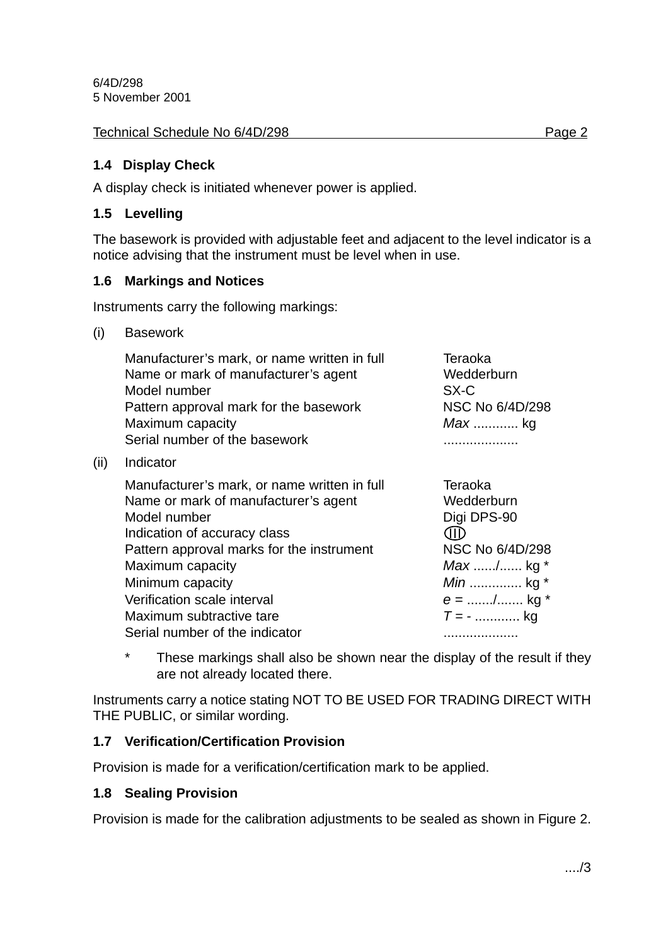6/4D/298 5 November 2001

#### Technical Schedule No 6/4D/298 Page 2

#### **1.4 Display Check**

A display check is initiated whenever power is applied.

#### **1.5 Levelling**

The basework is provided with adjustable feet and adjacent to the level indicator is a notice advising that the instrument must be level when in use.

#### **1.6 Markings and Notices**

Instruments carry the following markings:

(i) Basework

 $(ii)$ 

| Manufacturer's mark, or name written in full<br>Name or mark of manufacturer's agent<br>Model number<br>Pattern approval mark for the basework<br>Maximum capacity<br>Serial number of the basework                                                                                  | Teraoka<br>Wedderburn<br>SX-C<br>NSC No 6/4D/298<br><i>Max</i> kg                                                                     |
|--------------------------------------------------------------------------------------------------------------------------------------------------------------------------------------------------------------------------------------------------------------------------------------|---------------------------------------------------------------------------------------------------------------------------------------|
| Indicator                                                                                                                                                                                                                                                                            |                                                                                                                                       |
| Manufacturer's mark, or name written in full<br>Name or mark of manufacturer's agent<br>Model number<br>Indication of accuracy class<br>Pattern approval marks for the instrument<br>Maximum capacity<br>Minimum capacity<br>Verification scale interval<br>Maximum subtractive tare | Teraoka<br>Wedderburn<br>Digi DPS-90<br>CIID<br>NSC No 6/4D/298<br><i>Max</i> / kg *<br><i>Min</i> kg *<br>$e =$ / kg *<br>$T = -$ kg |
| Serial number of the indicator                                                                                                                                                                                                                                                       |                                                                                                                                       |

\* These markings shall also be shown near the display of the result if they are not already located there.

Instruments carry a notice stating NOT TO BE USED FOR TRADING DIRECT WITH THE PUBLIC, or similar wording.

#### **1.7 Verification/Certification Provision**

Provision is made for a verification/certification mark to be applied.

#### **1.8 Sealing Provision**

Provision is made for the calibration adjustments to be sealed as shown in Figure 2.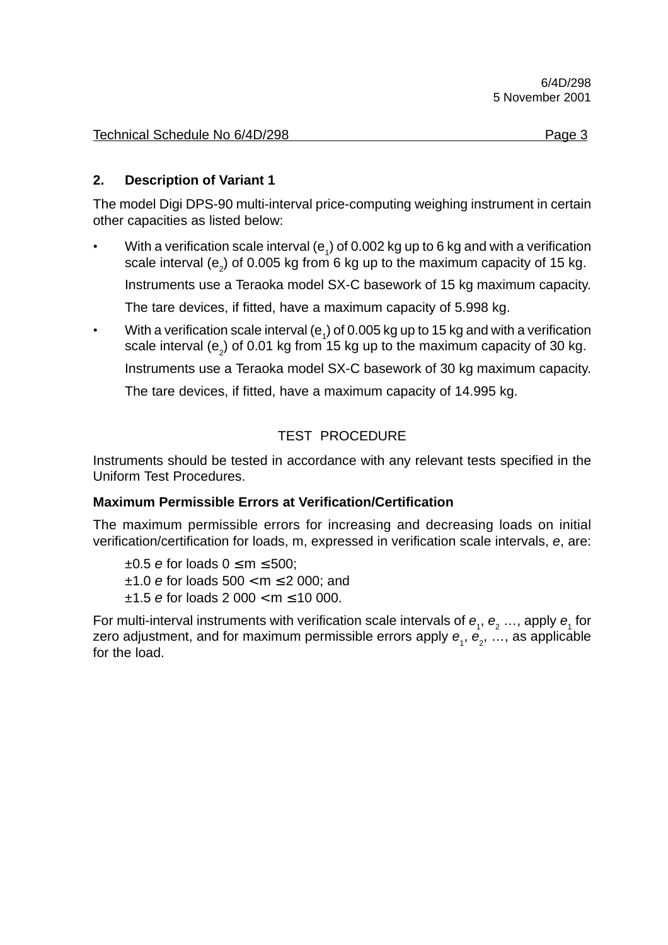| Technical Schedule No 6/4D/298 | Page 3 |  |
|--------------------------------|--------|--|
|                                |        |  |

#### **2. Description of Variant 1**

The model Digi DPS-90 multi-interval price-computing weighing instrument in certain other capacities as listed below:

• With a verification scale interval (e<sub>1</sub>) of 0.002 kg up to 6 kg and with a verification scale interval (e<sub>2</sub>) of 0.005 kg from 6 kg up to the maximum capacity of 15 kg.

Instruments use a Teraoka model SX-C basework of 15 kg maximum capacity.

The tare devices, if fitted, have a maximum capacity of 5.998 kg.

• With a verification scale interval (e<sub>1</sub>) of 0.005 kg up to 15 kg and with a verification scale interval (e<sub>2</sub>) of 0.01 kg from 15 kg up to the maximum capacity of 30 kg.

Instruments use a Teraoka model SX-C basework of 30 kg maximum capacity.

The tare devices, if fitted, have a maximum capacity of 14.995 kg.

#### TEST PROCEDURE

Instruments should be tested in accordance with any relevant tests specified in the Uniform Test Procedures.

#### **Maximum Permissible Errors at Verification/Certification**

The maximum permissible errors for increasing and decreasing loads on initial verification/certification for loads, m, expressed in verification scale intervals, e, are:

 $\pm 0.5$  e for loads  $0 \le m \le 500$ ;  $±1.0$  e for loads  $500 < m \le 2000$ ; and  $±1.5$  e for loads 2 000 < m  $\leq$  10 000.

For multi-interval instruments with verification scale intervals of  $e_1$ ,  $e_2$  ..., apply  $e_1$  for zero adjustment, and for maximum permissible errors apply  $\bm{e}_{_{1}},$   $\bm{e}_{_{2}},$  …, as applicable for the load.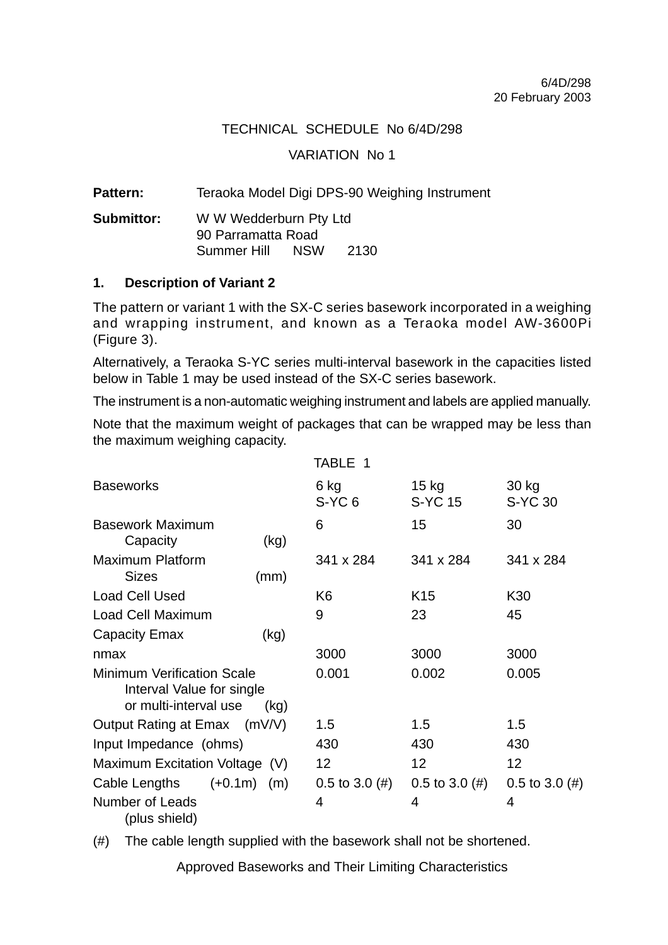#### TECHNICAL SCHEDULE No 6/4D/298

#### VARIATION No 1

Pattern: Teraoka Model Digi DPS-90 Weighing Instrument

**Submittor:** W W Wedderburn Pty Ltd 90 Parramatta Road Summer Hill NSW 2130

#### **1. Description of Variant 2**

The pattern or variant 1 with the SX-C series basework incorporated in a weighing and wrapping instrument, and known as a Teraoka model AW-3600Pi (Figure 3).

Alternatively, a Teraoka S-YC series multi-interval basework in the capacities listed below in Table 1 may be used instead of the SX-C series basework.

The instrument is a non-automatic weighing instrument and labels are applied manually.

Note that the maximum weight of packages that can be wrapped may be less than the maximum weighing capacity.

|                                                                                         |      | TABLE 1                   |                    |                         |
|-----------------------------------------------------------------------------------------|------|---------------------------|--------------------|-------------------------|
| <b>Baseworks</b>                                                                        |      | 6 kg<br>S-YC <sub>6</sub> | $15$ kg<br>S-YC 15 | 30 kg<br><b>S-YC 30</b> |
| <b>Basework Maximum</b>                                                                 |      | 6                         | 15                 | 30                      |
| Capacity                                                                                | (kg) |                           |                    |                         |
| <b>Maximum Platform</b><br><b>Sizes</b>                                                 | (mm) | 341 x 284                 | 341 x 284          | 341 x 284               |
| <b>Load Cell Used</b>                                                                   |      | K <sub>6</sub>            | K <sub>15</sub>    | K30                     |
| Load Cell Maximum                                                                       |      | 9                         | 23                 | 45                      |
| Capacity Emax                                                                           | (kg) |                           |                    |                         |
| nmax                                                                                    |      | 3000                      | 3000               | 3000                    |
| <b>Minimum Verification Scale</b><br>Interval Value for single<br>or multi-interval use | (kg) | 0.001                     | 0.002              | 0.005                   |
| Output Rating at Emax (mV/V)                                                            |      | 1.5                       | 1.5                | 1.5                     |
| Input Impedance (ohms)                                                                  |      | 430                       | 430                | 430                     |
| Maximum Excitation Voltage (V)                                                          |      | 12 <sup>2</sup>           | 12 <sup>2</sup>    | 12                      |
| $(+0.1m)$ (m)<br>Cable Lengths                                                          |      | $0.5$ to $3.0$ (#)        | $0.5$ to $3.0$ (#) | $0.5$ to $3.0$ (#)      |
| Number of Leads<br>(plus shield)                                                        |      | 4                         | 4                  | 4                       |

(#) The cable length supplied with the basework shall not be shortened.

Approved Baseworks and Their Limiting Characteristics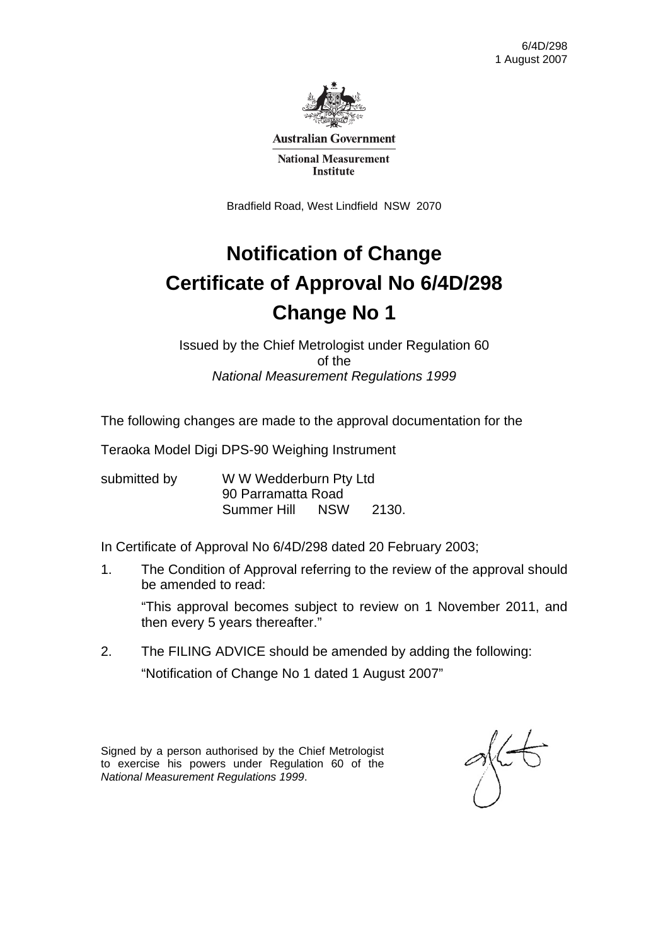

**Australian Government** 

**National Measurement Institute** 

Bradfield Road, West Lindfield NSW 2070

## **Notification of Change Certificate of Approval No 6/4D/298 Change No 1**

Issued by the Chief Metrologist under Regulation 60 of the *National Measurement Regulations 1999* 

The following changes are made to the approval documentation for the

Teraoka Model Digi DPS-90 Weighing Instrument

submitted by WWW Wedderburn Pty Ltd 90 Parramatta Road Summer Hill NSW 2130.

In Certificate of Approval No 6/4D/298 dated 20 February 2003;

1. The Condition of Approval referring to the review of the approval should be amended to read:

 "This approval becomes subject to review on 1 November 2011, and then every 5 years thereafter."

2. The FILING ADVICE should be amended by adding the following: "Notification of Change No 1 dated 1 August 2007"

Signed by a person authorised by the Chief Metrologist to exercise his powers under Regulation 60 of the *National Measurement Regulations 1999*.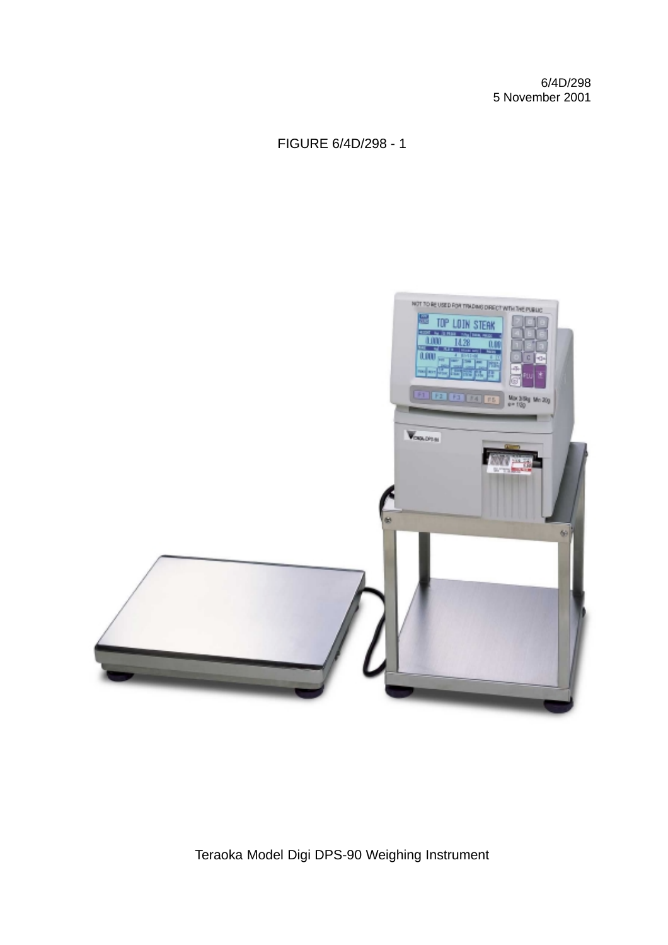6/4D/298 5 November 2001

FIGURE 6/4D/298 - 1



Teraoka Model Digi DPS-90 Weighing Instrument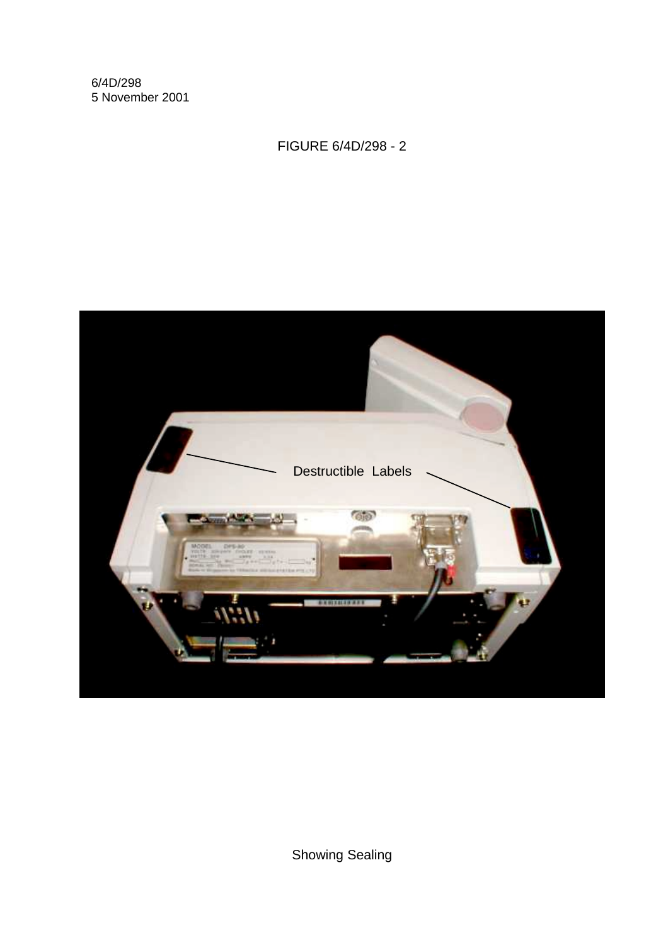6/4D/298 5 November 2001

FIGURE 6/4D/298 - 2



Showing Sealing